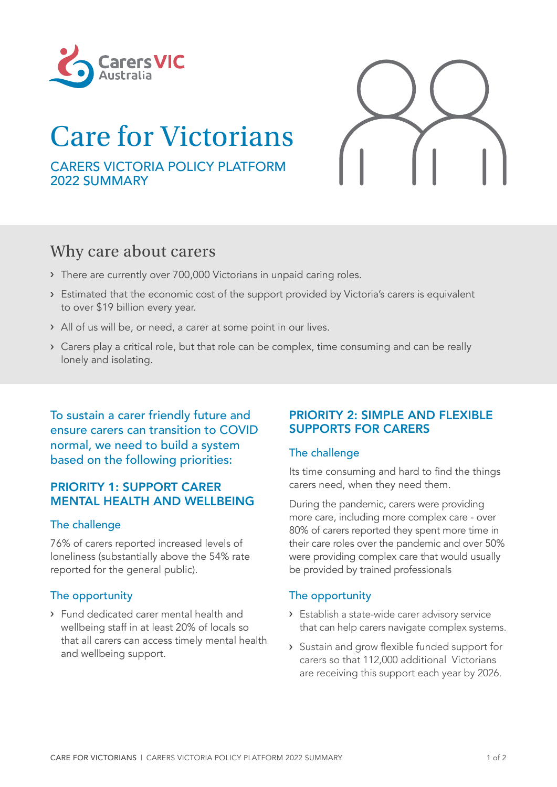

# Care for Victorians

CARERS VICTORIA POLICY PLATFORM 2022 SUMMARY

## Why care about carers

- › There are currently over 700,000 Victorians in unpaid caring roles.
- › Estimated that the economic cost of the support provided by Victoria's carers is equivalent to over \$19 billion every year.
- › All of us will be, or need, a carer at some point in our lives.
- › Carers play a critical role, but that role can be complex, time consuming and can be really lonely and isolating.

To sustain a carer friendly future and ensure carers can transition to COVID normal, we need to build a system based on the following priorities:

### PRIORITY 1: SUPPORT CARER **MENTAL HEALTH AND WELLBEING**

#### The challenge

76% of carers reported increased levels of loneliness (substantially above the 54% rate reported for the general public).

#### The opportunity

› Fund dedicated carer mental health and wellbeing staff in at least 20% of locals so that all carers can access timely mental health and wellbeing support.

#### PRIORITY 2: SIMPLE AND FLEXIBLE SUPPORTS FOR CARERS

#### The challenge

Its time consuming and hard to find the things carers need, when they need them.

During the pandemic, carers were providing more care, including more complex care - over 80% of carers reported they spent more time in their care roles over the pandemic and over 50% were providing complex care that would usually be provided by trained professionals

#### The opportunity

- › Establish a state-wide carer advisory service that can help carers navigate complex systems.
- › Sustain and grow flexible funded support for carers so that 112,000 additional Victorians are receiving this support each year by 2026.